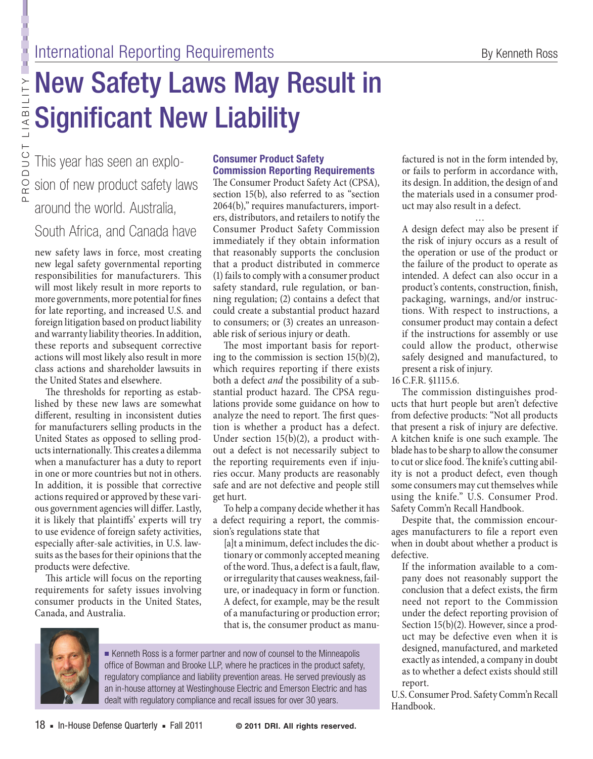# New Safety Laws May Result in Significant New Liability

Product Liabi

l ity

This year has seen an explosion of new product safety laws around the world. Australia,

## South Africa, and Canada have

new safety laws in force, most creating new legal safety governmental reporting responsibilities for manufacturers. This will most likely result in more reports to more governments, more potential for fines for late reporting, and increased U.S. and foreign litigation based on product liability and warranty liability theories. In addition, these reports and subsequent corrective actions will most likely also result in more class actions and shareholder lawsuits in the United States and elsewhere.

The thresholds for reporting as established by these new laws are somewhat different, resulting in inconsistent duties for manufacturers selling products in the United States as opposed to selling products internationally. This creates a dilemma when a manufacturer has a duty to report in one or more countries but not in others. In addition, it is possible that corrective actions required or approved by these various government agencies will differ. Lastly, it is likely that plaintiffs' experts will try to use evidence of foreign safety activities, especially after-sale activities, in U.S. lawsuits as the bases for their opinions that the products were defective.

This article will focus on the reporting requirements for safety issues involving consumer products in the United States, Canada, and Australia.

## **Consumer Product Safety Commission Reporting Requirements**

The Consumer Product Safety Act (CPSA), section 15(b), also referred to as "section 2064(b)," requires manufacturers, importers, distributors, and retailers to notify the Consumer Product Safety Commission immediately if they obtain information that reasonably supports the conclusion that a product distributed in commerce (1) fails to comply with a consumer product safety standard, rule regulation, or banning regulation; (2) contains a defect that could create a substantial product hazard to consumers; or (3) creates an unreasonable risk of serious injury or death.

The most important basis for reporting to the commission is section 15(b)(2), which requires reporting if there exists both a defect *and* the possibility of a substantial product hazard. The CPSA regulations provide some guidance on how to analyze the need to report. The first question is whether a product has a defect. Under section 15(b)(2), a product without a defect is not necessarily subject to the reporting requirements even if injuries occur. Many products are reasonably safe and are not defective and people still get hurt.

To help a company decide whether it has a defect requiring a report, the commission's regulations state that

[a]t a minimum, defect includes the dictionary or commonly accepted meaning of the word. Thus, a defect is a fault, flaw, or irregularity that causes weakness, failure, or inadequacy in form or function. A defect, for example, may be the result of a manufacturing or production error; that is, the consumer product as manu-



■ Kenneth Ross is a former partner and now of counsel to the Minneapolis office of Bowman and Brooke LLP, where he practices in the product safety, regulatory compliance and liability prevention areas. He served previously as an in-house attorney at Westinghouse Electric and Emerson Electric and has dealt with regulatory compliance and recall issues for over 30 years.

factured is not in the form intended by, or fails to perform in accordance with, its design. In addition, the design of and the materials used in a consumer product may also result in a defect.

… A design defect may also be present if the risk of injury occurs as a result of the operation or use of the product or the failure of the product to operate as intended. A defect can also occur in a product's contents, construction, finish, packaging, warnings, and/or instructions. With respect to instructions, a consumer product may contain a defect if the instructions for assembly or use could allow the product, otherwise safely designed and manufactured, to present a risk of injury.

16 C.F.R. §1115.6.

The commission distinguishes products that hurt people but aren't defective from defective products: "Not all products that present a risk of injury are defective. A kitchen knife is one such example. The blade has to be sharp to allow the consumer to cut or slice food. The knife's cutting ability is not a product defect, even though some consumers may cut themselves while using the knife." U.S. Consumer Prod. Safety Comm'n Recall Handbook.

Despite that, the commission encourages manufacturers to file a report even when in doubt about whether a product is defective.

If the information available to a company does not reasonably support the conclusion that a defect exists, the firm need not report to the Commission under the defect reporting provision of Section 15(b)(2). However, since a product may be defective even when it is designed, manufactured, and marketed exactly as intended, a company in doubt as to whether a defect exists should still report.

U.S. Consumer Prod. Safety Comm'n Recall Handbook.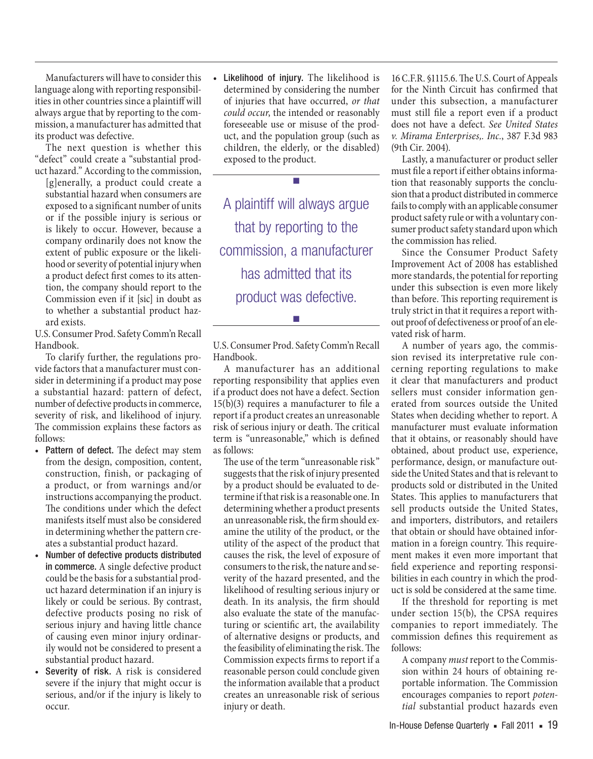Manufacturers will have to consider this language along with reporting responsibilities in other countries since a plaintiff will always argue that by reporting to the commission, a manufacturer has admitted that its product was defective.

The next question is whether this "defect" could create a "substantial product hazard." According to the commission,

[g]enerally, a product could create a substantial hazard when consumers are exposed to a significant number of units or if the possible injury is serious or is likely to occur. However, because a company ordinarily does not know the extent of public exposure or the likelihood or severity of potential injury when a product defect first comes to its attention, the company should report to the Commission even if it [sic] in doubt as to whether a substantial product hazard exists.

U.S. Consumer Prod. Safety Comm'n Recall Handbook.

To clarify further, the regulations provide factors that a manufacturer must consider in determining if a product may pose a substantial hazard: pattern of defect, number of defective products in commerce, severity of risk, and likelihood of injury. The commission explains these factors as follows:

- Pattern of defect. The defect may stem from the design, composition, content, construction, finish, or packaging of a product, or from warnings and/or instructions accompanying the product. The conditions under which the defect manifests itself must also be considered in determining whether the pattern creates a substantial product hazard.
- Number of defective products distributed in commerce. A single defective product could be the basis for a substantial product hazard determination if an injury is likely or could be serious. By contrast, defective products posing no risk of serious injury and having little chance of causing even minor injury ordinarily would not be considered to present a substantial product hazard.
- • Severity of risk. A risk is considered severe if the injury that might occur is serious, and/or if the injury is likely to occur.

• Likelihood of injury. The likelihood is determined by considering the number of injuries that have occurred, *or that could occur*, the intended or reasonably foreseeable use or misuse of the product, and the population group (such as children, the elderly, or the disabled) exposed to the product.

A plaintiff will always argue that by reporting to the commission, a manufacturer has admitted that its product was defective.

■

U.S. Consumer Prod. Safety Comm'n Recall Handbook.

■

A manufacturer has an additional reporting responsibility that applies even if a product does not have a defect. Section 15(b)(3) requires a manufacturer to file a report if a product creates an unreasonable risk of serious injury or death. The critical term is "unreasonable," which is defined as follows:

The use of the term "unreasonable risk" suggests that the risk of injury presented by a product should be evaluated to determine if that risk is a reasonable one. In determining whether a product presents an unreasonable risk, the firm should examine the utility of the product, or the utility of the aspect of the product that causes the risk, the level of exposure of consumers to the risk, the nature and severity of the hazard presented, and the likelihood of resulting serious injury or death. In its analysis, the firm should also evaluate the state of the manufacturing or scientific art, the availability of alternative designs or products, and the feasibility of eliminating the risk. The Commission expects firms to report if a reasonable person could conclude given the information available that a product creates an unreasonable risk of serious injury or death.

16 C.F.R. §1115.6. The U.S. Court of Appeals for the Ninth Circuit has confirmed that under this subsection, a manufacturer must still file a report even if a product does not have a defect. *See United States v. Mirama Enterprises,. Inc.*, 387 F.3d 983 (9th Cir. 2004).

Lastly, a manufacturer or product seller must file a report if either obtains information that reasonably supports the conclusion that a product distributed in commerce fails to comply with an applicable consumer product safety rule or with a voluntary consumer product safety standard upon which the commission has relied.

Since the Consumer Product Safety Improvement Act of 2008 has established more standards, the potential for reporting under this subsection is even more likely than before. This reporting requirement is truly strict in that it requires a report without proof of defectiveness or proof of an elevated risk of harm.

A number of years ago, the commission revised its interpretative rule concerning reporting regulations to make it clear that manufacturers and product sellers must consider information generated from sources outside the United States when deciding whether to report. A manufacturer must evaluate information that it obtains, or reasonably should have obtained, about product use, experience, performance, design, or manufacture outside the United States and that is relevant to products sold or distributed in the United States. This applies to manufacturers that sell products outside the United States, and importers, distributors, and retailers that obtain or should have obtained information in a foreign country. This requirement makes it even more important that field experience and reporting responsibilities in each country in which the product is sold be considered at the same time.

If the threshold for reporting is met under section 15(b), the CPSA requires companies to report immediately. The commission defines this requirement as follows:

A company *must* report to the Commission within 24 hours of obtaining reportable information. The Commission encourages companies to report *potential* substantial product hazards even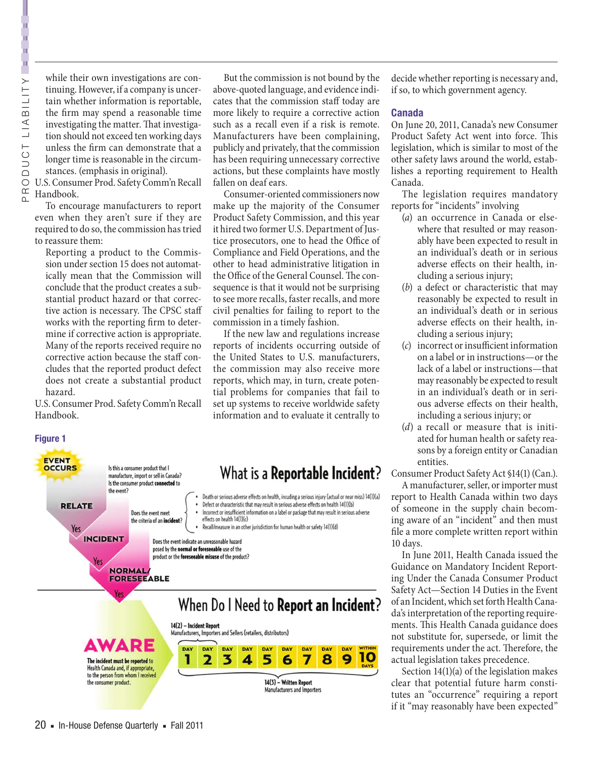j.

while their own investigations are continuing. However, if a company is uncertain whether information is reportable, the firm may spend a reasonable time investigating the matter. That investigation should not exceed ten working days unless the firm can demonstrate that a longer time is reasonable in the circumstances. (emphasis in original).

U.S. Consumer Prod. Safety Comm'n Recall Handbook.

To encourage manufacturers to report even when they aren't sure if they are required to do so, the commission has tried to reassure them:

Reporting a product to the Commission under section 15 does not automatically mean that the Commission will conclude that the product creates a substantial product hazard or that corrective action is necessary. The CPSC staff works with the reporting firm to determine if corrective action is appropriate. Many of the reports received require no corrective action because the staff concludes that the reported product defect does not create a substantial product hazard.

U.S. Consumer Prod. Safety Comm'n Recall Handbook.

the event?

**NORMAL/ FORESEEABLE** 

**INCIDENT** 

Yes

Is this a consumer product that I

manufacture, import or sell in Canada? Is the consumer product connected to

Does the event meet

the criteria of an incident?

**Figure 1**

**EVENT OCCURS** 

**RELATE** 

Yes

But the commission is not bound by the above-quoted language, and evidence indicates that the commission staff today are more likely to require a corrective action such as a recall even if a risk is remote. Manufacturers have been complaining, publicly and privately, that the commission has been requiring unnecessary corrective actions, but these complaints have mostly fallen on deaf ears.

Consumer-oriented commissioners now make up the majority of the Consumer Product Safety Commission, and this year it hired two former U.S. Department of Justice prosecutors, one to head the Office of Compliance and Field Operations, and the other to head administrative litigation in the Office of the General Counsel. The consequence is that it would not be surprising to see more recalls, faster recalls, and more civil penalties for failing to report to the commission in a timely fashion.

If the new law and regulations increase reports of incidents occurring outside of the United States to U.S. manufacturers, the commission may also receive more reports, which may, in turn, create potential problems for companies that fail to set up systems to receive worldwide safety information and to evaluate it centrally to

## What is a **Reportable Incident**?

Death or serious adverse effects on health, incuding a serious injury (actual or near miss) 14(1)(a) Defect or characteristic that may result in serious adverse effects on health 14(1)(b) Incorrect or insufficient information on a label or package that may result in serious adverse effects on health 14(1)(c) Recall/measure in an other jurisdiction for human health or safety 14(1)(d)

Does the event indicate an unreasonable hazard posed by the normal or foreseeable use of the product or the foreseeable misuse of the product?

14(2) - Incident Report

## When Do I Need to Report an Incident?



Manufacturers, Importers and Sellers (retailers, distributors) DAY DAY DAY DAY DAY **DAY** DAY 5 7 1 2 3 4 8 6

> 14(3) - Written Report Manufacturers and Importers

DAY

9

10

decide whether reporting is necessary and, if so, to which government agency.

#### **Canada**

On June 20, 2011, Canada's new Consumer Product Safety Act went into force. This legislation, which is similar to most of the other safety laws around the world, establishes a reporting requirement to Health Canada.

The legislation requires mandatory reports for "incidents" involving

- (*a*) an occurrence in Canada or elsewhere that resulted or may reasonably have been expected to result in an individual's death or in serious adverse effects on their health, including a serious injury;
- (*b*) a defect or characteristic that may reasonably be expected to result in an individual's death or in serious adverse effects on their health, including a serious injury;
- (*c*) incorrect or insufficient information on a label or in instructions—or the lack of a label or instructions—that may reasonably be expected to result in an individual's death or in serious adverse effects on their health, including a serious injury; or
- (*d*) a recall or measure that is initiated for human health or safety reasons by a foreign entity or Canadian entities.

Consumer Product Safety Act §14(1) (Can.).

A manufacturer, seller, or importer must report to Health Canada within two days of someone in the supply chain becoming aware of an "incident" and then must file a more complete written report within 10 days.

In June 2011, Health Canada issued the Guidance on Mandatory Incident Reporting Under the Canada Consumer Product Safety Act—Section 14 Duties in the Event of an Incident, which set forth Health Canada's interpretation of the reporting requirements. This Health Canada guidance does not substitute for, supersede, or limit the requirements under the act. Therefore, the actual legislation takes precedence.

Section 14(1)(a) of the legislation makes clear that potential future harm constitutes an "occurrence" requiring a report if it "may reasonably have been expected"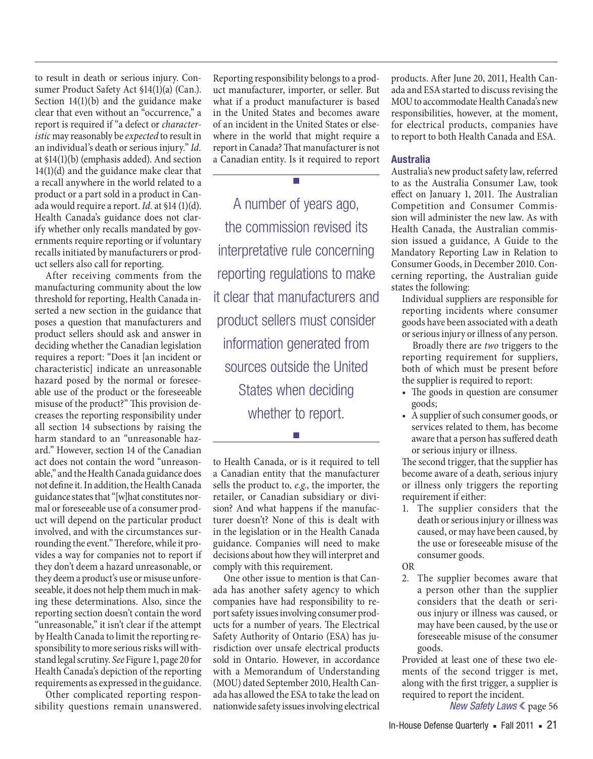to result in death or serious injury. Consumer Product Safety Act §14(1)(a) (Can.). Section 14(1)(b) and the guidance make clear that even without an "occurrence," a report is required if "a defect or *characteristic* may reasonably be *expected* to result in an individual's death or serious injury." *Id.* at §14(1)(b) (emphasis added). And section 14(1)(d) and the guidance make clear that a recall anywhere in the world related to a product or a part sold in a product in Canada would require a report. *Id.* at §14 (1)(d). Health Canada's guidance does not clarify whether only recalls mandated by governments require reporting or if voluntary recalls initiated by manufacturers or product sellers also call for reporting.

After receiving comments from the manufacturing community about the low threshold for reporting, Health Canada inserted a new section in the guidance that poses a question that manufacturers and product sellers should ask and answer in deciding whether the Canadian legislation requires a report: "Does it [an incident or characteristic] indicate an unreasonable hazard posed by the normal or foreseeable use of the product or the foreseeable misuse of the product?" This provision decreases the reporting responsibility under all section 14 subsections by raising the harm standard to an "unreasonable hazard." However, section 14 of the Canadian act does not contain the word "unreasonable," and the Health Canada guidance does not define it. In addition, the Health Canada guidance states that "[w]hat constitutes normal or foreseeable use of a consumer product will depend on the particular product involved, and with the circumstances surrounding the event." Therefore, while it provides a way for companies not to report if they don't deem a hazard unreasonable, or they deem a product's use or misuse unforeseeable, it does not help them much in making these determinations. Also, since the reporting section doesn't contain the word "unreasonable," it isn't clear if the attempt by Health Canada to limit the reporting responsibility to more serious risks will withstand legal scrutiny. *See* Figure 1, page 20 for Health Canada's depiction of the reporting requirements as expressed in the guidance.

Other complicated reporting responsibility questions remain unanswered. Reporting responsibility belongs to a product manufacturer, importer, or seller. But what if a product manufacturer is based in the United States and becomes aware of an incident in the United States or elsewhere in the world that might require a report in Canada? That manufacturer is not a Canadian entity. Is it required to report

■

A number of years ago, the commission revised its interpretative rule concerning reporting regulations to make it clear that manufacturers and product sellers must consider information generated from sources outside the United States when deciding whether to report.

to Health Canada, or is it required to tell a Canadian entity that the manufacturer sells the product to, *e.g.*, the importer, the retailer, or Canadian subsidiary or division? And what happens if the manufacturer doesn't? None of this is dealt with in the legislation or in the Health Canada guidance. Companies will need to make decisions about how they will interpret and comply with this requirement.

■

One other issue to mention is that Canada has another safety agency to which companies have had responsibility to report safety issues involving consumer products for a number of years. The Electrical Safety Authority of Ontario (ESA) has jurisdiction over unsafe electrical products sold in Ontario. However, in accordance with a Memorandum of Understanding (MOU) dated September 2010, Health Canada has allowed the ESA to take the lead on nationwide safety issues involving electrical products. After June 20, 2011, Health Canada and ESA started to discuss revising the MOU to accommodate Health Canada's new responsibilities, however, at the moment, for electrical products, companies have to report to both Health Canada and ESA.

### **Australia**

Australia's new product safety law, referred to as the Australia Consumer Law, took effect on January 1, 2011. The Australian Competition and Consumer Commission will administer the new law. As with Health Canada, the Australian commission issued a guidance, A Guide to the Mandatory Reporting Law in Relation to Consumer Goods, in December 2010. Concerning reporting, the Australian guide states the following:

Individual suppliers are responsible for reporting incidents where consumer goods have been associated with a death or serious injury or illness of any person.

Broadly there are *two* triggers to the reporting requirement for suppliers, both of which must be present before the supplier is required to report:

- The goods in question are consumer goods;
- A supplier of such consumer goods, or services related to them, has become aware that a person has suffered death or serious injury or illness.

The second trigger, that the supplier has become aware of a death, serious injury or illness only triggers the reporting requirement if either:

1. The supplier considers that the death or serious injury or illness was caused, or may have been caused, by the use or foreseeable misuse of the consumer goods.

OR

2. The supplier becomes aware that a person other than the supplier considers that the death or serious injury or illness was caused, or may have been caused, by the use or foreseeable misuse of the consumer goods.

Provided at least one of these two elements of the second trigger is met, along with the first trigger, a supplier is required to report the incident.

*New Safety Laws* ❮ page 56